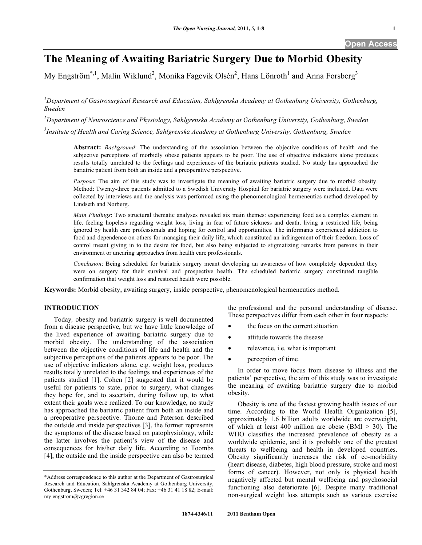# **The Meaning of Awaiting Bariatric Surgery Due to Morbid Obesity**

My Engström\*,<sup>1</sup>, Malin Wiklund<sup>2</sup>, Monika Fagevik Olsén<sup>2</sup>, Hans Lönroth<sup>1</sup> and Anna Forsberg<sup>3</sup>

<sup>1</sup>Department of Gastrosurgical Research and Education, Sahlgrenska Academy at Gothenburg University, Gothenburg, *Sweden* 

*2 Department of Neuroscience and Physiology, Sahlgrenska Academy at Gothenburg University, Gothenburg, Sweden* 

*3 Institute of Health and Caring Science, Sahlgrenska Academy at Gothenburg University, Gothenburg, Sweden* 

**Abstract:** *Background*: The understanding of the association between the objective conditions of health and the subjective perceptions of morbidly obese patients appears to be poor. The use of objective indicators alone produces results totally unrelated to the feelings and experiences of the bariatric patients studied. No study has approached the bariatric patient from both an inside and a preoperative perspective.

*Purpose*: The aim of this study was to investigate the meaning of awaiting bariatric surgery due to morbid obesity. Method: Twenty-three patients admitted to a Swedish University Hospital for bariatric surgery were included. Data were collected by interviews and the analysis was performed using the phenomenological hermeneutics method developed by Lindseth and Norberg.

*Main Findings*: Two structural thematic analyses revealed six main themes: experiencing food as a complex element in life, feeling hopeless regarding weight loss, living in fear of future sickness and death, living a restricted life, being ignored by health care professionals and hoping for control and opportunities. The informants experienced addiction to food and dependence on others for managing their daily life, which constituted an infringement of their freedom. Loss of control meant giving in to the desire for food, but also being subjected to stigmatizing remarks from persons in their environment or uncaring approaches from health care professionals.

*Conclusion*: Being scheduled for bariatric surgery meant developing an awareness of how completely dependent they were on surgery for their survival and prospective health. The scheduled bariatric surgery constituted tangible confirmation that weight loss and restored health were possible.

**Keywords:** Morbid obesity, awaiting surgery, inside perspective, phenomenological hermeneutics method.

# **INTRODUCTION**

 Today*,* obesity and bariatric surgery is well documented from a disease perspective, but we have little knowledge of the lived experience of awaiting bariatric surgery due to morbid obesity. The understanding of the association between the objective conditions of life and health and the subjective perceptions of the patients appears to be poor. The use of objective indicators alone, e.g. weight loss, produces results totally unrelated to the feelings and experiences of the patients studied [1]. Cohen [2] suggested that it would be useful for patients to state, prior to surgery, what changes they hope for, and to ascertain, during follow up, to what extent their goals were realized. To our knowledge, no study has approached the bariatric patient from both an inside and a preoperative perspective. Thorne and Paterson described the outside and inside perspectives [3], the former represents the symptoms of the disease based on patophysiology, while the latter involves the patient's view of the disease and consequences for his/her daily life. According to Toombs [4], the outside and the inside perspective can also be termed

the professional and the personal understanding of disease. These perspectives differ from each other in four respects:

- the focus on the current situation
- attitude towards the disease
- relevance, i.e. what is important
- perception of time.

 In order to move focus from disease to illness and the patients' perspective*,* the aim of this study was to investigate the meaning of awaiting bariatric surgery due to morbid obesity.

 Obesity is one of the fastest growing health issues of our time. According to the World Health Organization [5], approximately 1.6 billion adults worldwide are overweight, of which at least 400 million are obese (BMI  $>$  30). The WHO classifies the increased prevalence of obesity as a worldwide epidemic, and it is probably one of the greatest threats to wellbeing and health in developed countries. Obesity significantly increases the risk of co-morbidity (heart disease, diabetes, high blood pressure, stroke and most forms of cancer). However, not only is physical health negatively affected but mental wellbeing and psychosocial functioning also deteriorate [6]. Despite many traditional non-surgical weight loss attempts such as various exercise

<sup>\*</sup>Address correspondence to this author at the Department of Gastrosurgical Research and Education, Sahlgrenska Academy at Gothenburg University, Gothenburg, Sweden; Tel: +46 31 342 84 04; Fax: +46 31 41 18 82; E-mail: my.engstrom@vgregion.se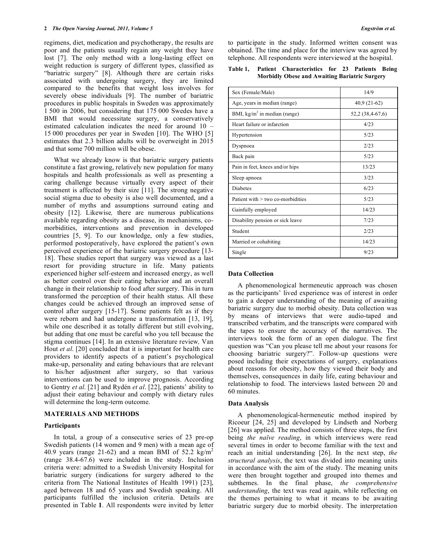regimens, diet, medication and psychotherapy, the results are poor and the patients usually regain any weight they have lost [7]. The only method with a long-lasting effect on weight reduction is surgery of different types, classified as "bariatric surgery" [8]. Although there are certain risks associated with undergoing surgery, they are limited compared to the benefits that weight loss involves for severely obese individuals [9]. The number of bariatric procedures in public hospitals in Sweden was approximately 1 500 in 2006, but considering that 175 000 Swedes have a BMI that would necessitate surgery, a conservatively estimated calculation indicates the need for around 10 – 15 000 procedures per year in Sweden [10]. The WHO [5] estimates that 2.3 billion adults will be overweight in 2015 and that some 700 million will be obese.

 What we already know is that bariatric surgery patients constitute a fast growing, relatively new population for many hospitals and health professionals as well as presenting a caring challenge because virtually every aspect of their treatment is affected by their size [11]. The strong negative social stigma due to obesity is also well documented, and a number of myths and assumptions surround eating and obesity [12]. Likewise*,* there are numerous publications available regarding obesity as a disease, its mechanisms, comorbidities, interventions and prevention in developed countries [5, 9]. To our knowledge, only a few studies, performed postoperatively, have explored the patient's own perceived experience of the bariatric surgery procedure [13- 18]. These studies report that surgery was viewed as a last resort for providing structure in life. Many patients experienced higher self-esteem and increased energy, as well as better control over their eating behavior and an overall change in their relationship to food after surgery. This in turn transformed the perception of their health status. All these changes could be achieved through an improved sense of control after surgery [15-17]. Some patients felt as if they were reborn and had undergone a transformation [13, 19], while one described it as totally different but still evolving, but adding that one must be careful who you tell because the stigma continues [14]. In an extensive literature review*,* Van Hout *et al*. [20] concluded that it is important for health care providers to identify aspects of a patient's psychological make-up, personality and eating behaviours that are relevant to his/her adjustment after surgery, so that various interventions can be used to improve prognosis. According to Gentry *et al*. [21] and Rydén *et al*. [22], patients' ability to adjust their eating behaviour and comply with dietary rules will determine the long-term outcome.

#### **MATERIALS AND METHODS**

#### **Participants**

 In total, a group of a consecutive series of 23 pre-op Swedish patients (14 women and 9 men) with a mean age of 40.9 years (range 21-62) and a mean BMI of  $52.2 \text{ kg/m}^2$ (range 38.4-67.6) were included in the study. Inclusion criteria were: admitted to a Swedish University Hospital for bariatric surgery (indications for surgery adhered to the criteria from The National Institutes of Health 1991) [23], aged between 18 and 65 years and Swedish speaking. All participants fulfilled the inclusion criteria. Details are presented in Table **1**. All respondents were invited by letter

to participate in the study. Informed written consent was obtained. The time and place for the interview was agreed by telephone. All respondents were interviewed at the hospital.

# **Table 1, Patient Characteristics for 23 Patients Being Morbidly Obese and Awaiting Bariatric Surgery**

| Sex (Female/Male)                      | 14/9             |
|----------------------------------------|------------------|
| Age, years in median (range)           | $40,9(21-62)$    |
| BMI, $\text{kg/m}^2$ in median (range) | 52,2 (38,4-67,6) |
| Heart failure or infarction            | 4/23             |
| Hypertension                           | 5/23             |
| Dyspnoea                               | 2/23             |
| Back pain                              | 5/23             |
| Pain in feet, knees and/or hips        | 13/23            |
| Sleep apnoea                           | 3/23             |
| <b>Diabetes</b>                        | 6/23             |
| Patient with $>$ two co-morbidities    | 5/23             |
| Gainfully employed                     | 14/23            |
| Disability pension or sick leave       | 7/23             |
| Student                                | 2/23             |
| Married or cohabiting                  | 14/23            |
| Single                                 | 9/23             |

#### **Data Collection**

 A phenomenological hermeneutic approach was chosen as the participants' lived experience was of interest in order to gain a deeper understanding of the meaning of awaiting bariatric surgery due to morbid obesity. Data collection was by means of interviews that were audio-taped and transcribed verbatim, and the transcripts were compared with the tapes to ensure the accuracy of the narratives. The interviews took the form of an open dialogue. The first question was "Can you please tell me about your reasons for choosing bariatric surgery?". Follow-up questions were posed including their expectations of surgery, explanations about reasons for obesity, how they viewed their body and themselves, consequences in daily life, eating behaviour and relationship to food. The interviews lasted between 20 and 60 minutes.

#### **Data Analysis**

 A phenomenological-hermeneutic method inspired by Ricoeur [24, 25] and developed by Lindseth and Norberg [26] was applied. The method consists of three steps, the first being *the naïve reading*, in which interviews were read several times in order to become familiar with the text and reach an initial understanding [26]. In the next step, *the structural analysis*, the text was divided into meaning units in accordance with the aim of the study. The meaning units were then brought together and grouped into themes and subthemes. In the final phase, *the comprehensive understanding*, the text was read again, while reflecting on the themes pertaining to what it means to be awaiting bariatric surgery due to morbid obesity. The interpretation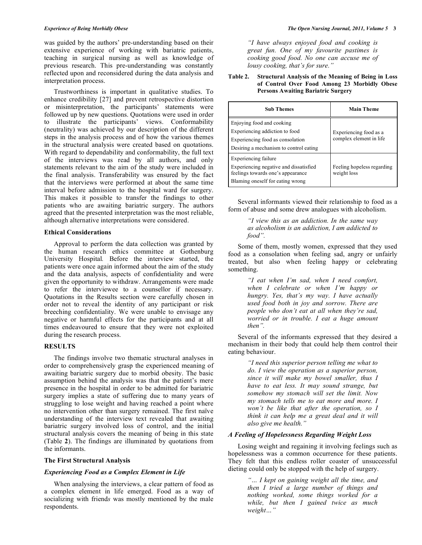was guided by the authors' pre*-*understanding based on their extensive experience of working with bariatric patients, teaching in surgical nursing as well as knowledge of previous research. This pre-understanding was constantly reflected upon and reconsidered during the data analysis and interpretation process.

 Trustworthiness is important in qualitative studies. To enhance credibility [27] and prevent retrospective distortion or misinterpretation, the participants' statements were followed up by new questions. Quotations were used in order to illustrate the participants' views. Conformability (neutrality) was achieved by our description of the different steps in the analysis process and of how the various themes in the structural analysis were created based on quotations. With regard to dependability and conformability, the full text of the interviews was read by all authors, and only statements relevant to the aim of the study were included in the final analysis. Transferability was ensured by the fact that the interviews were performed at about the same time interval before admission to the hospital ward for surgery. This makes it possible to transfer the findings to other patients who are awaiting bariatric surgery. The authors agreed that the presented interpretation was the most reliable, although alternative interpretations were considered.

#### **Ethical Considerations**

 Approval to perform the data collection was granted by the human research ethics committee at Gothenburg University Hospital*.* Before the interview started, the patients were once again informed about the aim of the study and the data analysis, aspects of confidentiality and were given the opportunity to withdraw. Arrangements were made to refer the interviewee to a counsellor if necessary. Quotations in the Results section were carefully chosen in order not to reveal the identity of any participant or risk breeching confidentiality. We were unable to envisage any negative or harmful effects for the participants and at all times endeavoured to ensure that they were not exploited during the research process.

#### **RESULTS**

 The findings involve two thematic structural analyses in order to comprehensively grasp the experienced meaning of awaiting bariatric surgery due to morbid obesity. The basic assumption behind the analysis was that the patient's mere presence in the hospital in order to be admitted for bariatric surgery implies a state of suffering due to many years of struggling to lose weight and having reached a point where no intervention other than surgery remained. The first naïve understanding of the interview text revealed that awaiting bariatric surgery involved loss of control, and the initial structural analysis covers the meaning of being in this state (Table **2**). The findings are illuminated by quotations from the informants.

# **The First Structural Analysis**

#### *Experiencing Food as a Complex Element in Life*

 When analysing the interviews, a clear pattern of food as a complex element in life emerged. Food as a way of socializing with friend*s* was mostly mentioned by the male respondents.

*"I have always enjoyed food and cooking is great fun. One of my favourite pastimes is cooking good food. No one can accuse me of lousy cooking, that's for sure."* 

# **Table 2. Structural Analysis of the Meaning of Being in Loss of Control Over Food Among 23 Morbidly Obese Persons Awaiting Bariatric Surgery**

| <b>Sub Themes</b>                                                                                                                              | <b>Main Theme</b>                                 |
|------------------------------------------------------------------------------------------------------------------------------------------------|---------------------------------------------------|
| Enjoying food and cooking<br>Experiencing addiction to food<br>Experiencing food as consolation<br>Desiring a mechanism to control eating      | Experiencing food as a<br>complex element in life |
| <b>Experiencing failure</b><br>Experiencing negative and dissatisfied<br>feelings towards one's appearance<br>Blaming oneself for eating wrong | Feeling hopeless regarding<br>weight loss         |

 Several informants viewed their relationship to food as a form of abuse and some drew analogues with alcoholism.

> *"I view this as an addiction. In the same way as alcoholism is an addiction, I am addicted to food".*

 Some of them, mostly women, expressed that they used food as a consolation when feeling sad, angry or unfairly treated, but also when feeling happy or celebrating something.

> *"I eat when I'm sad, when I need comfort, when I celebrate or when I'm happy or hungry. Yes, that's my way. I have actually used food both in joy and sorrow. There are people who don't eat at all when they're sad, worried or in trouble. I eat a huge amount then".*

 Several of the informants expressed that they desired a mechanism in their body that could help them control their eating behaviour.

> *"I need this superior person telling me what to do. I view the operation as a superior person, since it will make my bowel smaller, thus I have to eat less. It may sound strange, but somehow my stomach will set the limit. Now my stomach tells me to eat more and more. I won't be like that after the operation, so I think it can help me a great deal and it will also give me health."*

# *A Feeling of Hopelessness Regarding Weight Loss*

 Losing weight and regaining it involving feelings such as hopelessness was a common occurrence for these patients. They felt that this endless roller coaster of unsuccessful dieting could only be stopped with the help of surgery.

> *"… I kept on gaining weight all the time, and then I tried a large number of things and nothing worked, some things worked for a while, but then I gained twice as much weight…"*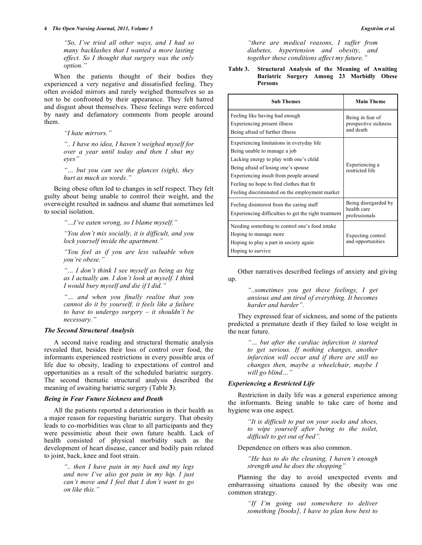*"So, I've tried all other ways, and I had so many backlashes that I wanted a more lasting effect. So I thought that surgery was the only option."* 

 When the patients thought of their bodies they experienced a very negative and dissatisfied feeling. They often avoided mirrors and rarely weighed themselves so as not to be confronted by their appearance. They felt hatred and disgust about themselves. These feelings were enforced by nasty and defamatory comments from people around them.

*"I hate mirrors."* 

*".. I have no idea, I haven't weighed myself for over a year until today and then I shut my eyes"* 

*"… but you can see the glances (sigh), they hurt as much as words."* 

 Being obese often led to changes in self respect. They felt guilty about being unable to control their weight, and the overweight resulted in sadness and shame that sometimes led to social isolation.

*"…I've eaten wrong, so I blame myself."* 

*"You don't mix socially, it is difficult, and you lock yourself inside the apartment."* 

*"You feel as if you are less valuable when you're obese."* 

*"… I don't think I see myself as being as big as I actually am. I don't look at myself. I think I would bury myself and die if I did."* 

*"… and when you finally realise that you cannot do it by yourself, it feels like a failure to have to undergo surgery – it shouldn't be necessary."*

# *The Second Structural Analysis*

 A second naive reading and structural thematic analysis revealed that, besides their loss of control over food, the informants experienced restrictions in every possible area of life due to obesity, leading to expectations of control and opportunities as a result of the scheduled bariatric surgery. The second thematic structural analysis described the meaning of awaiting bariatric surgery (Table **3**).

# *Being in Fear Future Sickness and Death*

 All the patients reported a deterioration in their health as a major reason for requesting bariatric surgery. That obesity leads to co-morbidities was clear to all participants and they were pessimistic about their own future health. Lack of health consisted of physical morbidity such as the development of heart disease, cancer and bodily pain related to joint, back, knee and foot strain.

> *".. then I have pain in my back and my legs and now I've also got pain in my hip. I just can't move and I feel that I don't want to go on like this."*

*"there are medical reasons, I suffer from diabetes, hypertension and obesity, and together these conditions affect my future."* 

**Table 3. Structural Analysis of the Meaning of Awaiting Bariatric Surgery Among 23 Morbidly Obese Persons**

| <b>Sub Themes</b>                                                                                                                                                                                                                                                                                   | <b>Main Theme</b>                                     |
|-----------------------------------------------------------------------------------------------------------------------------------------------------------------------------------------------------------------------------------------------------------------------------------------------------|-------------------------------------------------------|
| Feeling like having had enough<br>Experiencing present illness<br>Being afraid of further illness                                                                                                                                                                                                   | Being in fear of<br>prospective sickness<br>and death |
| Experiencing limitations in everyday life<br>Being unable to manage a job<br>Lacking energy to play with one's child<br>Being afraid of losing one's spouse<br>Experiencing insult from people around<br>Feeling no hope to find clothes that fit<br>Feeling discriminated on the employment market | Experiencing a<br>restricted life                     |
| Feeling disinterest from the caring staff<br>Experiencing difficulties to get the right treatment                                                                                                                                                                                                   | Being disregarded by<br>health care<br>professionals  |
| Needing something to control one's food intake.<br>Hoping to manage more<br>Hoping to play a part in society again<br>Hoping to survive                                                                                                                                                             | Expecting control<br>and opportunities                |

 Other narratives described feelings of anxiety and giving up.

> *"..sometimes you get these feelings, I get anxious and am tired of everything. It becomes harder and harder".*

 They expressed fear of sickness, and some of the patients predicted a premature death if they failed to lose weight in the near future.

> *"… but after the cardiac infarction it started to get serious. If nothing changes, another infarction will occur and if there are still no changes then, maybe a wheelchair, maybe I will go blind…"*

# *Experiencing a Restricted Life*

 Restriction in daily life was a general experience among the informants. Being unable to take care of home and hygiene was one aspect.

> *"It is difficult to put on your socks and shoes, to wipe yourself after being to the toilet, difficult to get out of bed".*

Dependence on others was also common.

*"He has to do the cleaning, I haven't enough strength and he does the shopping"* 

 Planning the day to avoid unexpected events and embarrassing situations caused by the obesity was one common strategy.

> *"If I'm going out somewhere to deliver something [books], I have to plan how best to*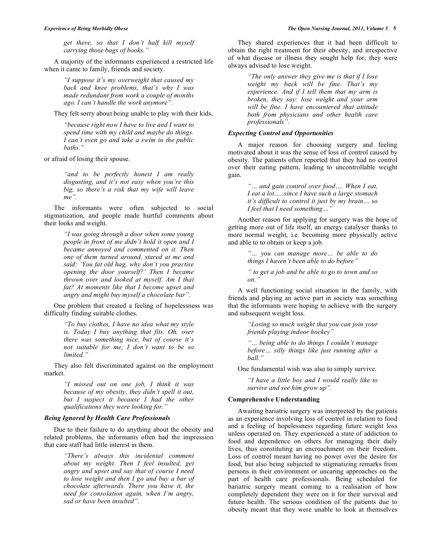*get there, so that I don't half kill myself carrying those bags of books."* 

 A majority of the informants experienced a restricted life when it came to family, friends and society.

> *"I suppose it's my overweight that caused my back and knee problems, that's why I was made redundant from work a couple of months ago. I can't handle the work anymore".*

They felt sorry about being unable to play with their kids,

*"because right now I have to live and I want to spend time with my child and maybe do things. I can't even go and take a swim in the public baths."* 

or afraid of losing their spouse.

*"and to be perfectly honest I am really disgusting, and it's not easy when you're this big, so there's a risk that my wife will leave me".* 

 The informants were often subjected to social stigmatization, and people made hurtful comments about their looks and weight.

> *"I was going through a door when some young people in front of me didn't hold it open and I became annoyed and commented on it. Then one of them turned around, stared at me and said: 'You fat old hag, why don't you practise opening the door yourself?' Then I became thrown over and looked at myself. Am I that fat? At moments like that I become upset and angry and might buy myself a chocolate bar".*

 One problem that created a feeling of hopelessness was difficulty finding suitable clothes.

> *"To buy clothes, I have no idea what my style is. Today I buy anything that fits. Oh, over there was something nice, but of course it's not suitable for me, I don't want to be so limited."*

 They also felt discriminated against on the employment market.

> *"I missed out on one job, I think it was because of my obesity, they didn't spell it out, but I suspect it because I had the other qualifications they were looking for."*

#### *Being Ignored by Health Care Professionals*

 Due to their failure to do anything about the obesity and related problems, the informants often had the impression that care staff had little interest in them.

> *"There's always this incidental comment about my weight. Then I feel insulted, get angry and upset and say that of course I need to lose weight and then I go and buy a bar of chocolate afterwards. There you have it, the need for consolation again, when I'm angry, sad or have been insulted".*

 They shared experiences that it had been difficult to obtain the right treatment for their obesity, and irrespective of what disease or illness they sought help for, they were always advised to lose weight.

> *"The only answer they give me is that if I lose weight my back will be fine. That's my experience. And if I tell them that my arm is broken, they say: lose weight and your arm will be fine. I have encountered that attitude both from physicians and other health care professionals".*

# *Expecting Control and Opportunities*

 A major reason for choosing surgery and feeling motivated about it was the sense of loss of control caused by obesity. The patients often reported that they had no control over their eating pattern, leading to uncontrollable weight gain.

> *"… and gain control over food…. When I eat, I eat a lot…..since I have such a large stomach it's difficult to control it just by my brain… so I feel that I need something…"*

 Another reason for applying for surgery was the hope of getting more out of life itself, an energy catalyser thanks to more normal weight, i.e. becoming more physically active and able to to obtain or keep a job.

> *"… you can manage more… be able to do things I haven't been able to do before"*

> *" to get a job and be able to go to town and so on."*

 A well functioning social situation in the family, with friends and playing an active part in society was something that the informants were hoping to achieve with the surgery and subsequent weight loss.

> *"Losing so much weight that you can join your friends playing indoor hockey"*

*"… being able to do things I couldn't manage before… silly things like just running after a ball."* 

One fundamental wish was also to simply survive.

*"I have a little boy and I would really like to survive and see him grow up".* 

#### **Comprehensive Understanding**

 Awaiting bariatric surgery was interpreted by the patients as an experience involving loss of control in relation to food and a feeling of hopelessness regarding future weight loss unless operated on. They experienced a state of addiction to food and dependence on others for managing their daily lives, thus constituting an encroachment on their freedom. Loss of control meant having no power over the desire for food, but also being subjected to stigmatizing remarks from persons in their environment or uncaring approaches on the part of health care professionals. Being scheduled for bariatric surgery meant coming to a realisation of how completely dependent they were on it for their survival and future health. The serious condition of the patients due to obesity meant that they were unable to look at themselves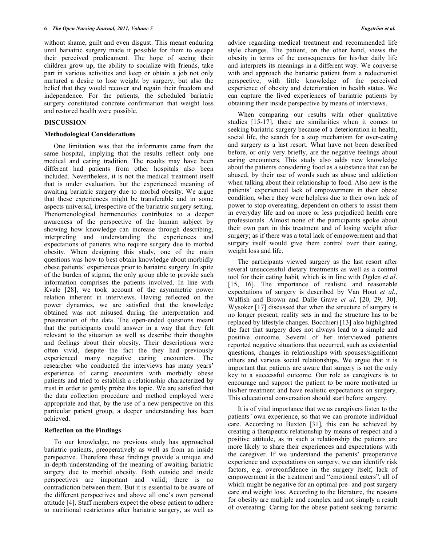without shame, guilt and even disgust. This meant enduring until bariatric surgery made it possible for them to escape their perceived predicament. The hope of seeing their children grow up, the ability to socialize with friends, take part in various activities and keep or obtain a job not only nurtured a desire to lose weight by surgery, but also the belief that they would recover and regain their freedom and independence. For the patients, the scheduled bariatric surgery constituted concrete confirmation that weight loss and restored health were possible.

#### **DISCUSSION**

# **Methodological Considerations**

 One limitation was that the informants came from the same hospital, implying that the results reflect only one medical and caring tradition. The results may have been different had patients from other hospitals also been included. Nevertheless, it is not the medical treatment itself that is under evaluation, but the experienced meaning of awaiting bariatric surgery due to morbid obesity. We argue that these experiences might be transferable and in some aspects universal, irrespective of the bariatric surgery setting. Phenomenological hermeneutics contributes to a deeper awareness of the perspective of the human subject by showing how knowledge can increase through describing, interpreting and understanding the experiences and expectations of patients who require surgery due to morbid obesity. When designing this study, one of the main questions was how to best obtain knowledge about morbidly obese patients' experiences prior to bariatric surgery. In spite of the burden of stigma, the only group able to provide such information comprises the patients involved. In line with Kvale [28], we took account of the asymmetric power relation inherent in interviews. Having reflected on the power dynamics, we are satisfied that the knowledge obtained was not misused during the interpretation and presentation of the data. The open-ended questions meant that the participants could answer in a way that they felt relevant to the situation as well as describe their thoughts and feelings about their obesity. Their descriptions were often vivid, despite the fact the they had previously experienced many negative caring encounters. The researcher who conducted the interviews has many years' experience of caring encounters with morbidly obese patients and tried to establish a relationship characterized by trust in order to gently probe this topic. We are satisfied that the data collection procedure and method employed were appropriate and that, by the use of a new perspective on this particular patient group, a deeper understanding has been achieved.

#### **Reflection on the Findings**

 To our knowledge, no previous study has approached bariatric patients, preoperatively as well as from an inside perspective. Therefore these findings provide a unique and in-depth understanding of the meaning of awaiting bariatric surgery due to morbid obesity. Both outside and inside perspectives are important and valid; there is no contradiction between them. But it is essential to be aware of the different perspectives and above all one's own personal attitude [4]. Staff members expect the obese patient to adhere to nutritional restrictions after bariatric surgery, as well as

advice regarding medical treatment and recommended life style changes. The patient, on the other hand, views the obesity in terms of the consequences for his/her daily life and interprets its meanings in a different way. We converse with and approach the bariatric patient from a reductionist perspective, with little knowledge of the perceived experience of obesity and deterioration in health status. We can capture the lived experiences of bariatric patients by obtaining their inside perspective by means of interviews.

When comparing our results with other qualitative studies [15-17], there are similarities when it comes to seeking bariatric surgery because of a deterioration in health, social life, the search for a stop mechanism for over*-*eating and surgery as a last resort. What have not been described before, or only very briefly, are the negative feelings about caring encounters. This study also adds new knowledge about the patients considering food as a substance that can be abused, by their use of words such as abuse and addiction when talking about their relationship to food. Also new is the patients' experienced lack of empowerment in their obese condition, where they were helpless due to their own lack of power to stop overeating, dependent on others to assist them in everyday life and on more or less prejudiced health care professionals. Almost none of the participants spoke about their own part in this treatment and of losing weight after surgery; as if there was a total lack of empowerment and that surgery itself would give them control over their eating, weight loss and life.

 The participants viewed surgery as the last resort after several unsuccessful dietary treatments as well as a control tool for their eating habit*,* which is in line with Ogden *et al*. [15, 16]. The importance of realistic and reasonable expectations of surgery is described by Van Hout *et al*., Walfish and Brown and Dalle Grave *et al*. [20, 29, 30]. Wysoker [17] discussed that when the structure of surgery is no longer present, reality sets in and the structure has to be replaced by lifestyle changes. Bocchieri [13] also highlighted the fact that surgery does not always lead to a simple and positive outcome. Several of her interviewed patients reported negative situations that occurred, such as existential questions, changes in relationships with spouses/significant others and various social relationships. We argue that it is important that patient*s* are aware that surgery is not the only key to a successful outcome. Our role as caregivers is to encourage and support the patient to be more motivated in his/her treatment and have realistic expectations on surgery. This educational conversation should start before surgery.

 It is of vital importance that we as caregivers listen to the patients*'* own experience, so that we can promote individual care. According to Buxton [31]*,* this can be achieved by creating a therapeutic relationship by means of respect and a positive attitude, as in such a relationship the patients are more likely to share their experiences and expectations with the caregiver. If we understand the patients' preoperative experience and expectations on surgery, we can identify risk factors, e.g. overconfidence in the surgery itself, lack of empowerment in the treatment and "emotional eaters", all of which might be negative for an optimal pre- and post surgery care and weight loss. According to the literature, the reasons for obesity are multiple and complex and not simply a result of overeating. Caring for the obese patient seeking bariatric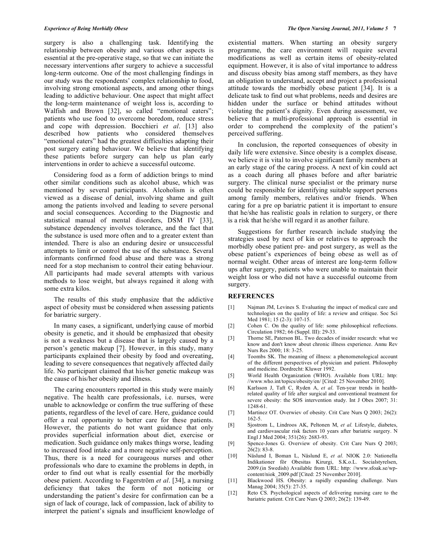surgery is also a challenging task. Identifying the relationship between obesity and various other aspects is essential at the pre-operative stage, so that we can initiate the necessary interventions after surgery to achieve a successful long-term outcome. One of the most challenging findings in our study was the respondents' complex relationship to food, involving strong emotional aspects, and among other things leading to addictive behaviour. One aspect that might affect the long-term maintenance of weight loss is, according to Walfish and Brown [32], so called "emotional eaters"; patients who use food to overcome boredom, reduce stress and cope with depression. Bocchieri *et al*. [13] also described how patients who considered themselves "emotional eaters" had the greatest difficulties adapting their post surgery eating behaviour. We believe that identifying these patients before surgery can help us plan early interventions in order to achieve a successful outcome.

 Considering food as a form of addiction brings to mind other similar conditions such as alcohol abuse, which was mentioned by several participants. Alcoholism is often viewed as a disease of denial, involving shame and guilt among the patients involved and leading to severe personal and social consequences. According to the Diagnostic and statistical manual of mental disorders, DSM IV [33], substance dependency involves tolerance, and the fact that the substance is used more often and to a greater extent than intended. There is also an enduring desire or unsuccessful attempts to limit or control the use of the substance. Several informants confirmed food abuse and there was a strong need for a stop mechanism to control their eating behaviour. All participants had made several attempts with various methods to lose weight, but always regained it along with some extra kilos.

 The results of this study emphasize that the addictive aspect of obesity must be considered when assessing patients for bariatric surgery.

 In many cases, a significant, underlying cause of morbid obesity is genetic, and it should be emphasized that obesity is not a weakness but a disease that is largely caused by a person's genetic makeup [7]. However, in this study, many participants explained their obesity by food and overeating, leading to severe consequences that negatively affected daily life. No participant claimed that his/her genetic makeup was the cause of his/her obesity and illness.

 The caring encounters reported in this study were mainly negative. The health care professionals, i.e. nurses, were unable to acknowledge or confirm the true suffering of these patients, regardless of the level of care. Here, guidance could offer a real opportunity to better care for these patients. However, the patients do not want guidance that only provides superficial information about diet, exercise or medication. Such guidance only makes things worse, leading to increased food intake and a more negative self-perception. Thus, there is a need for courageous nurses and other professionals who dare to examine the problems in depth, in order to find out what is really essential for the morbidly obese patient. According to Fagerström *et al*. [34], a nursing deficiency that takes the form of not noticing or understanding the patient's desire for confirmation can be a sign of lack of courage, lack of compassion, lack of ability to interpret the patient's signals and insufficient knowledge of existential matters. When starting an obesity surgery programme, the care environment will require several modifications as well as certain items of obesity-related equipment. However, it is also of vital importance to address and discuss obesity bias among staff members, as they have an obligation to understand, accept and project a professional attitude towards the morbidly obese patient [34]. It is a delicate task to find out what problems, needs and desires are hidden under the surface or behind attitudes without violating the patient's dignity. Even during assessment, we believe that a multi-professional approach is essential in order to comprehend the complexity of the patient's perceived suffering.

 In conclusion, the reported consequences of obesity in daily life were extensive. Since obesity is a complex disease*,* we believe it is vital to involve significant family members at an early stage of the caring process. A next of kin could act as a coach during all phases before and after bariatric surgery. The clinical nurse specialist or the primary nurse could be responsible for identifying suitable support persons among family members, relatives and/or friends. When caring for a pre op bariatric patient it is important to ensure that he/she has realistic goals in relation to surgery, or there is a risk that he/she will regard it as another failure.

 Suggestions for further research include studying the strategies used by next of kin or relatives to approach the morbidly obese patient pre- and post surgery, as well as the obese patient's experiences of being obese as well as of normal weight. Other areas of interest are long-term follow ups after surgery, patients who were unable to maintain their weight loss or who did not have a successful outcome from surgery.

# **REFERENCES**

- [1] Najman JM, Levines S. Evaluating the impact of medical care and technologies on the quality of life: a review and critique. Soc Sci Med 1981; 15 (2-3): 107-15.
- [2] Cohen C. On the quality of life: some philosophical reflections. Circulation 1982; 66 (Suppl. III): 29-33.
- [3] Thorne SE, Paterson BL. Two decades of insider research: what we know and don't know about chronic illness experience. Annu Rev Nurs Res 2000; 18: 3-25.
- [4] Toombs SK. The meaning of illness: a phenomenological account of the different perspectives of physician and patient. Philosophy and medicine. Dordrecht: Kluwer 1992.
- [5] World Health Organization (WHO). Available from URL: http: //www.who.int/topics/obesity/en/ [Cited: 25 November 2010].
- [6] Karlsson J, Taft C, Ryden A, *et al*. Ten-year trends in healthrelated quality of life after surgical and conventional treatment for severe obesity: the SOS intervention study. Int J Obes 2007; 31: 1248-61.
- [7] Martinez OT. Overwiev of obesity. Crit Care Nurs Q 2003; 26(2): 162-5.
- [8] Sjostrom L, Lindroos AK, Peltonen M, *et al.* Lifestyle, diabetes, and cardiovascular risk factors 10 years after bariatric surgery. N Engl J Med 2004; 351(26): 2683-93.
- [9] Spence-Jones G. Overview of obesity. Crit Care Nurs Q 2003; 26(2): 83-8.
- [10] Näslund I, Boman L, Näslund E, *et al*. NIOK 2.0: Nationella Indikationer för Obesitas Kirurgi, S.K.o.L. Socialstyrelsen, 2009.(in Swedish) Available from URL: http: //www.sfoak.se/wpcontent/niok\_2009.pdf [Cited: 25 November 2010].
- [11] Blackwood HS. Obesity: a rapidly expanding challenge. Nurs Manag 2004; 35(5): 27-35.
- [12] Reto CS. Psychological aspects of delivering nursing care to the bariatric patient. Crit Care Nurs Q 2003; 26(2): 139-49.